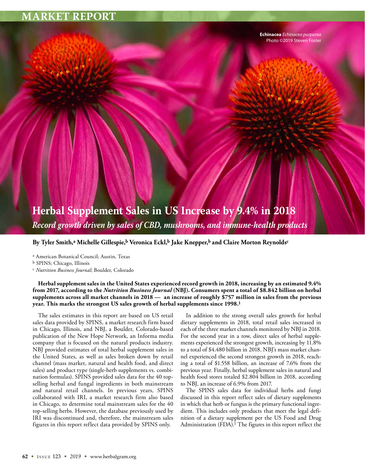**Echinacea** *Echinacea purpurea* Photo ©2019 Steven Foster

# **Herbal Supplement Sales in US Increase by 9.4% in 2018** *Record growth driven by sales of CBD, mushrooms, and immune-health products*

**By Tyler Smith,a Michelle Gillespie,b Veronica Eckl,b Jake Knepper,b and Claire Morton Reynoldsc**

a American Botanical Council; Austin, Texas

b SPINS; Chicago, Illinois

c *Nutrition Business Journal*; Boulder, Colorado

**Herbal supplement sales in the United States experienced record growth in 2018, increasing by an estimated 9.4% from 2017, according to the** *Nutrition Business Journal* **(NBJ). Consumers spent a total of \$8.842 billion on herbal supplements across all market channels in 2018 — an increase of roughly \$757 million in sales from the previous year. This marks the strongest US sales growth of herbal supplements since 1998.1**

The sales estimates in this report are based on US retail sales data provided by SPINS, a market research firm based in Chicago, Illinois, and NBJ, a Boulder, Colorado-based publication of the New Hope Network, an Informa media company that is focused on the natural products industry. NBJ provided estimates of total herbal supplement sales in the United States, as well as sales broken down by retail channel (mass market, natural and health food, and direct sales) and product type (single-herb supplements vs. combination formulas). SPINS provided sales data for the 40 topselling herbal and fungal ingredients in both mainstream and natural retail channels. In previous years, SPINS collaborated with IRI, a market research firm also based in Chicago, to determine total mainstream sales for the 40 top-selling herbs. However, the database previously used by IRI was discontinued and, therefore, the mainstream sales figures in this report reflect data provided by SPINS only.

In addition to the strong overall sales growth for herbal dietary supplements in 2018, total retail sales increased in each of the three market channels monitored by NBJ in 2018. For the second year in a row, direct sales of herbal supplements experienced the strongest growth, increasing by 11.8% to a total of \$4.480 billion in 2018. NBJ's mass market channel experienced the second strongest growth in 2018, reaching a total of \$1.558 billion, an increase of 7.6% from the previous year. Finally, herbal supplement sales in natural and health food stores totaled \$2.804 billion in 2018, according to NBJ, an increase of 6.9% from 2017.

The SPINS sales data for individual herbs and fungi discussed in this report reflect sales of dietary supplements in which that herb or fungus is the primary functional ingredient. This includes only products that meet the legal definition of a dietary supplement per the US Food and Drug Administration (FDA).<sup>1</sup> The figures in this report reflect the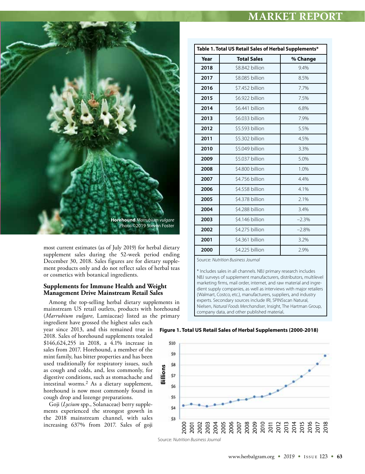

most current estimates (as of July 2019) for herbal dietary supplement sales during the 52-week period ending December 30, 2018. Sales figures are for dietary supplement products only and do not reflect sales of herbal teas or cosmetics with botanical ingredients.

### **Supplements for Immune Health and Weight Management Drive Mainstream Retail Sales**

Among the top-selling herbal dietary supplements in mainstream US retail outlets, products with horehound (*Marrubium vulgare*, Lamiaceae) listed as the primary ingredient have grossed the highest sales each

year since 2013, and this remained true in 2018. Sales of horehound supplements totaled \$146,624,255 in 2018, a 4.1% increase in sales from 2017. Horehound, a member of the mint family, has bitter properties and has been used traditionally for respiratory issues, such as cough and colds, and, less commonly, for digestive conditions, such as stomachache and intestinal worms.2 As a dietary supplement, horehound is now most commonly found in cough drop and lozenge preparations.

Goji (*Lycium* spp., Solanaceae) berry supplements experienced the strongest growth in the 2018 mainstream channel, with sales increasing 637% from 2017. Sales of goji

| Table 1. Total US Retail Sales of Herbal Supplements* |                    |          |  |  |
|-------------------------------------------------------|--------------------|----------|--|--|
| Year                                                  | <b>Total Sales</b> | % Change |  |  |
| 2018                                                  | \$8.842 billion    | 9.4%     |  |  |
| 2017                                                  | \$8.085 billion    | 8.5%     |  |  |
| 2016                                                  | \$7.452 billion    | 7.7%     |  |  |
| 2015                                                  | \$6.922 billion    | 7.5%     |  |  |
| 2014                                                  | \$6.441 billion    | 6.8%     |  |  |
| 2013                                                  | \$6.033 billion    | 7.9%     |  |  |
| 2012                                                  | \$5.593 billion    | 5.5%     |  |  |
| 2011                                                  | \$5.302 billion    | 4.5%     |  |  |
| 2010                                                  | \$5.049 billion    | 3.3%     |  |  |
| 2009                                                  | \$5.037 billion    | 5.0%     |  |  |
| 2008                                                  | \$4,800 billion    | 1.0%     |  |  |
| 2007                                                  | \$4.756 billion    | 4.4%     |  |  |
| 2006                                                  | \$4.558 billion    | 4.1%     |  |  |
| 2005                                                  | \$4.378 billion    | 2.1%     |  |  |
| 2004                                                  | \$4.288 billion    | 3.4%     |  |  |
| 2003                                                  | \$4.146 billion    | $-2.3%$  |  |  |
| 2002                                                  | \$4.275 billion    | $-2.8%$  |  |  |
| 2001                                                  | \$4.361 billion    | 3.2%     |  |  |
| 2000                                                  | \$4.225 billion    | 2.9%     |  |  |

Source: *Nutrition Business Journal* 

\* Includes sales in all channels. NBJ primary research includes NBJ surveys of supplement manufacturers, distributors, multilevel marketing firms, mail order, internet, and raw material and ingredient supply companies, as well as interviews with major retailers (Walmart, Costco, etc.), manufacturers, suppliers, and industry experts. Secondary sources include IRI, SPINSscan Natural, Nielsen, *Natural Foods Merchandiser*, Insight, The Hartman Group, company data, and other published material.

**Figure 1. Total US Retail Sales of Herbal Supplements (2000-2018)**

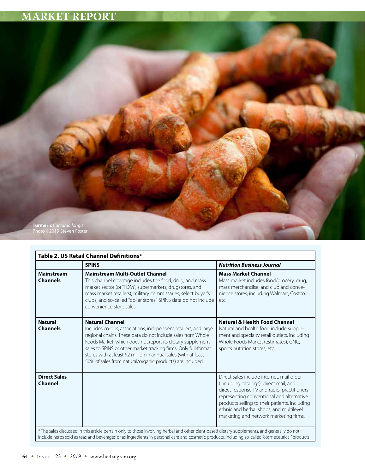

|                                       | <b>SPINS</b>                                                                                                                                                                                                                                                                                                                                                                                                              | <b>Nutrition Business Journal</b>                                                                                                                                                                                                                                                                                     |
|---------------------------------------|---------------------------------------------------------------------------------------------------------------------------------------------------------------------------------------------------------------------------------------------------------------------------------------------------------------------------------------------------------------------------------------------------------------------------|-----------------------------------------------------------------------------------------------------------------------------------------------------------------------------------------------------------------------------------------------------------------------------------------------------------------------|
| <b>Mainstream</b><br><b>Channels</b>  | <b>Mainstream Multi-Outlet Channel</b><br>This channel coverage includes the food, drug, and mass<br>market sector (or "FDM"; supermarkets, drugstores, and<br>mass market retailers), military commissaries, select buyer's<br>clubs, and so-called "dollar stores." SPINS data do not include<br>convenience store sales.                                                                                               | <b>Mass Market Channel</b><br>Mass market includes food/grocery, drug,<br>mass merchandise, and club and conve-<br>nience stores, including Walmart, Costco,<br>etc.                                                                                                                                                  |
| <b>Natural</b><br><b>Channels</b>     | <b>Natural Channel</b><br>Includes co-ops, associations, independent retailers, and large<br>regional chains. These data do not include sales from Whole<br>Foods Market, which does not report its dietary supplement<br>sales to SPINS or other market tracking firms. Only full-format<br>stores with at least \$2 million in annual sales (with at least<br>50% of sales from natural/organic products) are included. | <b>Natural &amp; Health Food Channel</b><br>Natural and health food include supple-<br>ment and specialty retail outlets, including<br>Whole Foods Market (estimates), GNC,<br>sports nutrition stores, etc.                                                                                                          |
| <b>Direct Sales</b><br><b>Channel</b> |                                                                                                                                                                                                                                                                                                                                                                                                                           | Direct sales include internet, mail order<br>(including catalogs), direct mail, and<br>direct response TV and radio; practitioners<br>representing conventional and alternative<br>products selling to their patients, including<br>ethnic and herbal shops; and multilevel<br>marketing and network marketing firms. |

include herbs sold as teas and beverages or as ingredients in personal care and cosmetic products, including so-called "cosmeceutical" products.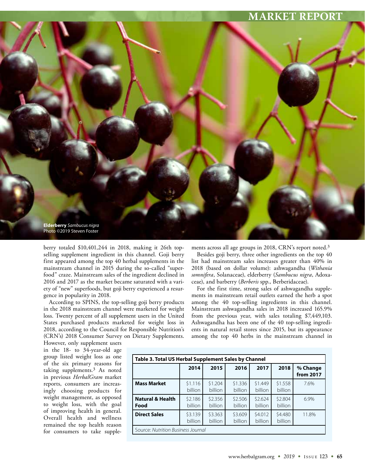

berry totaled \$10,401,244 in 2018, making it 26th topselling supplement ingredient in this channel. Goji berry first appeared among the top 40 herbal supplements in the mainstream channel in 2015 during the so-called "superfood" craze. Mainstream sales of the ingredient declined in 2016 and 2017 as the market became saturated with a variety of "new" superfoods, but goji berry experienced a resurgence in popularity in 2018.

According to SPINS, the top-selling goji berry products in the 2018 mainstream channel were marketed for weight loss. Twenty percent of all supplement users in the United States purchased products marketed for weight loss in 2018, according to the Council for Responsible Nutrition's (CRN's) 2018 Consumer Survey on Dietary Supplements. ments across all age groups in 2018, CRN's report noted.<sup>3</sup>

Besides goji berry, three other ingredients on the top 40 list had mainstream sales increases greater than 40% in 2018 (based on dollar volume): ashwagandha (*Withania somnifera*, Solanaceae), elderberry (*Sambucus nigra*, Adoxaceae), and barberry (*Berberis* spp., Berberidaceae).

For the first time, strong sales of ashwagandha supplements in mainstream retail outlets earned the herb a spot among the 40 top-selling ingredients in this channel. Mainstream ashwagandha sales in 2018 increased 165.9% from the previous year, with sales totaling \$7,449,103. Ashwagandha has been one of the 40 top-selling ingredients in natural retail stores since 2015, but its appearance among the top 40 herbs in the mainstream channel in

However, only supplement users in the 18- to 34-year-old age group listed weight loss as one of the six primary reasons for taking supplements.3 As noted in previous *HerbalGram* market reports, consumers are increasingly choosing products for weight management, as opposed to weight loss, with the goal of improving health in general. Overall health and wellness remained the top health reason for consumers to take supple-

| Table 3. Total US Herbal Supplement Sales by Channel |                    |                    |                    |                    |                    |                       |
|------------------------------------------------------|--------------------|--------------------|--------------------|--------------------|--------------------|-----------------------|
|                                                      | 2014               | 2015               | 2016               | 2017               | 2018               | % Change<br>from 2017 |
| <b>Mass Market</b>                                   | \$1.116<br>billion | \$1.204<br>billion | \$1.336<br>billion | \$1.449<br>billion | \$1.558<br>billion | 7.6%                  |
| <b>Natural &amp; Health</b><br>Food                  | \$2.186<br>billion | \$2.356<br>billion | \$2.506<br>billion | \$2.624<br>billion | \$2.804<br>billion | 6.9%                  |
| <b>Direct Sales</b>                                  | \$3.139<br>billion | \$3.363<br>billion | \$3.609<br>billion | \$4.012<br>billion | \$4.480<br>billion | 11.8%                 |
| Source: Nutrition Business Journal                   |                    |                    |                    |                    |                    |                       |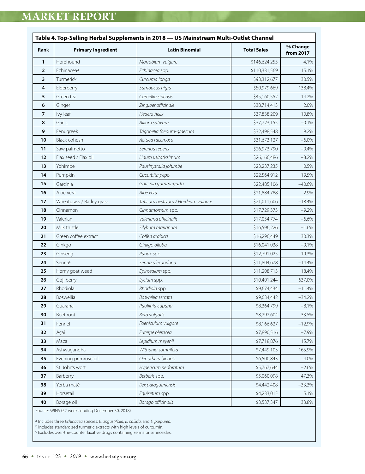| Rank           | <b>Primary Ingredient</b> | <b>Latin Binomial</b>               | <b>Total Sales</b> | % Change<br>from 2017 |
|----------------|---------------------------|-------------------------------------|--------------------|-----------------------|
| $\mathbf{1}$   | Horehound                 | Marrubium vulgare                   | \$146,624,255      | 4.1%                  |
| $\overline{2}$ | Echinacea <sup>a</sup>    | Echinacea spp.                      | \$110,331,569      | 15.1%                 |
| 3              | Turmeric <sup>b</sup>     | Curcuma longa                       | \$93,312,677       | 30.5%                 |
| 4              | Elderberry                | Sambucus nigra                      | \$50,979,669       | 138.4%                |
| 5              | Green tea                 | Camellia sinensis                   | \$45,160,552       | 14.2%                 |
| 6              | Ginger                    | Zingiber officinale                 | \$38,714,413       | 2.0%                  |
| $\overline{7}$ | Ivy leaf                  | Hedera helix                        | \$37,838,209       | 10.8%                 |
| 8              | Garlic                    | Allium sativum                      | \$37,723,155       | $-0.1%$               |
| 9              | Fenugreek                 | Trigonella foenum-graecum           | \$32,498,548       | 9.2%                  |
| 10             | Black cohosh              | Actaea racemosa                     | \$31,673,127       | $-6.0\%$              |
| 11             | Saw palmetto              | Serenoa repens                      | \$26,973,790       | $-0.4%$               |
| 12             | Flax seed / Flax oil      | Linum usitatissimum                 | \$26,166,486       | $-8.2%$               |
| 13             | Yohimbe                   | Pausinystalia johimbe               | \$23,237,235       | 0.5%                  |
| 14             | Pumpkin                   | Cucurbita pepo                      | \$22,564,912       | 19.5%                 |
| 15             | Garcinia                  | Garcinia gummi-gutta                | \$22,485,106       | $-40.6%$              |
| 16             | Aloe vera                 | Aloe vera                           | \$21,884,788       | 2.9%                  |
| 17             | Wheatgrass / Barley grass | Triticum aestivum / Hordeum vulgare | \$21,011,606       | $-18.4%$              |
| 18             | Cinnamon                  | Cinnamomum spp.                     | \$17,729,373       | $-9.2%$               |
| 19             | Valerian                  | Valeriana officinalis               | \$17,054,774       | $-6.6%$               |
| 20             | Milk thistle              | Silybum marianum                    | \$16,596,226       | $-1.6%$               |
| 21             | Green coffee extract      | Coffea arabica                      | \$16,296,449       | 30.3%                 |
| 22             | Ginkgo                    | Ginkgo biloba                       | \$16,041,038       | $-9.1%$               |
| 23             | Ginseng                   | Panax spp.                          | \$12,791,025       | 19.3%                 |
| 24             | Sennac                    | Senna alexandrina                   | \$11,804,678       | $-14.4%$              |
| 25             | Horny goat weed           | Epimedium spp.                      | \$11,208,713       | 18.4%                 |
| 26             | Goji berry                | Lycium spp.                         | \$10,401,244       | 637.0%                |
| 27             | Rhodiola                  | Rhodiola spp.                       | \$9,674,434        | $-11.4%$              |
| 28             | Boswellia                 | Boswellia serrata                   | \$9,634,442        | $-34.2%$              |
| 29             | Guarana                   | Paullinia cupana                    | \$8,364,799        | $-8.1%$               |
| 30             | Beet root                 | Beta vulgaris                       | \$8,292,604        | 33.5%                 |
| 31             | Fennel                    | Foeniculum vulgare                  | \$8,166,627        | $-12.9%$              |
| 32             | Açaí                      | Euterpe oleracea                    | \$7,890,516        | $-7.9%$               |
| 33             | Maca                      | Lepidium meyenii                    | \$7,718,876        | 15.7%                 |
| 34             | Ashwagandha               | Withania somnifera                  | \$7,449,103        | 165.9%                |
| 35             | Evening primrose oil      | Oenothera biennis                   | \$6,500,843        | $-4.0%$               |
| 36             | St. John's wort           | Hypericum perforatum                | \$5,767,644        | $-2.6%$               |
| 37             | Barberry                  | Berberis spp.                       | \$5,060,098        | 47.3%                 |
| 38             | Yerba maté                | Ilex paraquariensis                 | \$4,442,408        | $-33.3%$              |
| 39             | Horsetail                 | Equisetum spp.                      | \$4,233,015        | 5.1%                  |
| 40             | Borage oil                | Borago officinalis                  | \$3,537,347        | 33.8%                 |

Source: SPINS (52 weeks ending December 30, 2018)

a Includes three *Echinacea* species: *E. angustifolia*, *E. pallida*, and *E. purpurea*.

b Includes standardized turmeric extracts with high levels of curcumin.

c Excludes over-the-counter laxative drugs containing senna or sennosides.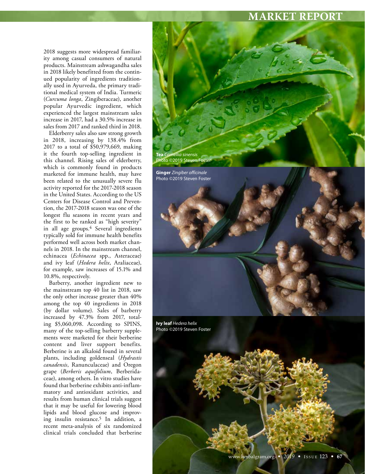2018 suggests more widespread familiarity among casual consumers of natural products. Mainstream ashwagandha sales in 2018 likely benefitted from the continued popularity of ingredients traditionally used in Ayurveda, the primary traditional medical system of India. Turmeric (*Curcuma longa*, Zingiberaceae), another popular Ayurvedic ingredient, which experienced the largest mainstream sales increase in 2017, had a 30.5% increase in sales from 2017 and ranked third in 2018.

Elderberry sales also saw strong growth in 2018, increasing by 138.4% from 2017 to a total of \$50,979,669, making it the fourth top-selling ingredient in this channel. Rising sales of elderberry, which is commonly found in products marketed for immune health, may have been related to the unusually severe flu activity reported for the 2017-2018 season in the United States. According to the US Centers for Disease Control and Prevention, the 2017-2018 season was one of the longest flu seasons in recent years and the first to be ranked as "high severity" in all age groups.4 Several ingredients typically sold for immune health benefits performed well across both market channels in 2018. In the mainstream channel, echinacea (*Echinacea* spp., Asteraceae) and ivy leaf (*Hedera helix*, Araliaceae), for example, saw increases of 15.1% and 10.8%, respectively.

Barberry, another ingredient new to the mainstream top 40 list in 2018, saw the only other increase greater than 40% among the top 40 ingredients in 2018 (by dollar volume). Sales of barberry increased by 47.3% from 2017, totaling \$5,060,098. According to SPINS, many of the top-selling barberry supplements were marketed for their berberine content and liver support benefits. Berberine is an alkaloid found in several plants, including goldenseal (*Hydrastis canadensis*, Ranunculaceae) and Oregon grape (*Berberis aquifolium*, Berberidaceae), among others. In vitro studies have found that berberine exhibits anti-inflammatory and antioxidant activities, and results from human clinical trials suggest that it may be useful for lowering blood lipids and blood glucose and improving insulin resistance.5 In addition, a recent meta-analysis of six randomized clinical trials concluded that berberine



Photo ©2019 Steven Foster

**Ivy leaf** *Hedera helix* Photo ©2019 Steven Foster

www.herbalgram.org • *2019* • I SSUE 123 • **67**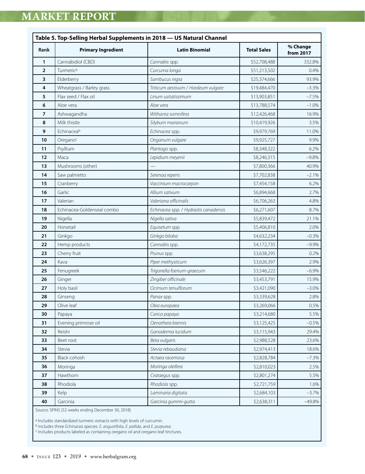| <b>Rank</b>    | <b>Primary Ingredient</b>  | <b>Latin Binomial</b>                 | <b>Total Sales</b> | % Change<br>from 2017 |
|----------------|----------------------------|---------------------------------------|--------------------|-----------------------|
| 1              | Cannabidiol (CBD)          | Cannabis spp.                         | \$52,708,488       | 332.8%                |
| $\overline{2}$ | Turmerica                  | Curcuma longa                         | \$51,213,502       | 0.4%                  |
| 3              | Elderberry                 | Sambucus nigra                        | \$25,374,666       | 93.9%                 |
| 4              | Wheatgrass / Barley grass  | Triticum aestivum / Hordeum vulgare   | \$19,484,470       | $-3.3%$               |
| 5              | Flax seed / Flax oil       | Linum usitatissimum                   | \$13,903,851       | $-7.5%$               |
| 6              | Aloe vera                  | Aloe vera                             | \$13,788,574       | $-1.0%$               |
| $\overline{7}$ | Ashwagandha                | Withania somnifera                    | \$12,426,468       | 16.9%                 |
| 8              | Milk thistle               | Silybum marianum                      | \$10,419,926       | 3.5%                  |
| 9              | Echinaceab                 | Echinacea spp.                        | \$9,979,769        | 11.0%                 |
| 10             | Oregano <sup>c</sup>       | Origanum vulgare                      | \$9,925,727        | 9.9%                  |
| 11             | Psyllium                   | Plantago spp.                         | \$8,348,322        | 6.2%                  |
| 12             | Maca                       | Lepidium meyenii                      | \$8,246,315        | $-9.8%$               |
| 13             | Mushrooms (other)          |                                       | \$7,800,366        | 40.9%                 |
| 14             | Saw palmetto               | Serenoa repens                        | \$7,702,838        | $-2.1%$               |
| 15             | Cranberry                  | Vaccinium macrocarpon                 | \$7,454,158        | 6.2%                  |
| 16             | Garlic                     | Allium sativum                        | \$6,894,668        | 2.7%                  |
| 17             | Valerian                   | Valeriana officinalis                 | \$6,706,263        | 4.8%                  |
| 18             | Echinacea-Goldenseal combo | Echinacea spp. / Hydrastis canadensis | \$6,271,607        | 8.7%                  |
| 19             | Nigella                    | Nigella sativa                        | \$5,839,472        | 21.1%                 |
| 20             | Horsetail                  | Equisetum spp.                        | \$5,406,810        | 2.0%                  |
| 21             | Ginkgo                     | Ginkgo biloba                         | \$4,632,234        | $-0.3%$               |
| 22             | Hemp products              | Cannabis spp.                         | \$4,172,735        | $-9.9%$               |
| 23             | Cherry fruit               | Prunus spp.                           | \$3,638,295        | 0.2%                  |
| 24             | Kava                       | Piper methysticum                     | \$3,626,397        | 2.9%                  |
| 25             | Fenugreek                  | Trigonella foenum-graecum             | \$3,546,222        | $-6.9%$               |
| 26             | Ginger                     | Zingiber officinale                   | \$3,453,791        | 15.9%                 |
| 27             | Holy basil                 | Ocimum tenuiflorum                    | \$3,421,090        | $-3.0\%$              |
| 28             | Ginseng                    | Panax spp.                            | \$3,339,628        | 2.8%                  |
| 29             | Olive leaf                 | Olea europaea                         | \$3,269,066        | 0.5%                  |
| 30             | Papaya                     | Carica papaya                         | \$3,214,680        | 5.5%                  |
| 31             | Evening primrose oil       | Oenothera biennis                     | \$3,125,425        | $-0.5%$               |
| 32             | Reishi                     | Ganoderma lucidum                     | \$3,115,943        | 29.4%                 |
| 33             | Beet root                  | Beta vulgaris                         | \$2,988,528        | 23.6%                 |
| 34             | Stevia                     | Stevia rebaudiana                     | \$2,974,413        | 18.6%                 |
| 35             | Black cohosh               | Actaea racemosa                       | \$2,828,784        | $-7.3%$               |
| 36             | Moringa                    | Moringa oleifera                      | \$2,810,023        | 2.5%                  |
| 37             | Hawthorn                   | Crataegus spp.                        | \$2,801,274        | 5.5%                  |
| 38             | Rhodiola                   | Rhodiola spp.                         | \$2,721,759        | 1.6%                  |
| 39             | Kelp                       | Laminaria digitata                    | \$2,684,103        | $-3.7%$               |
| 40             | Garcinia                   | Garcinia gummi-gutta                  | \$2,638,311        | $-49.8%$              |

a Includes standardized turmeric extracts with high levels of curcumin.

b Includes three *Echinacea* species: *E. angustifolia*, *E. pallida*, and *E. purpurea*.

c Includes products labeled as containing oregano oil and oregano leaf tinctures.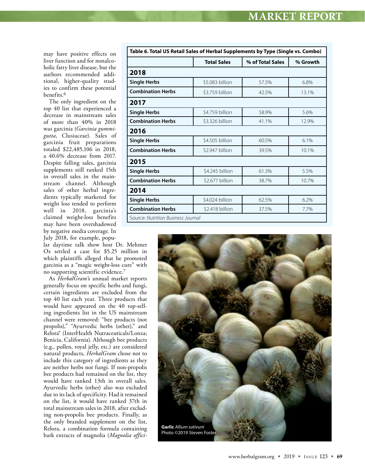may have positive effects on liver function and for nonalcoholic fatty liver disease, but the authors recommended additional, higher-quality studies to confirm these potential benefits.6

The only ingredient on the top 40 list that experienced a decrease in mainstream sales of more than 40% in 2018 was garcinia (*Garcinia gummigutta*, Clusiaceae). Sales of garcinia fruit preparations totaled \$22,485,106 in 2018, a 40.6% decrease from 2017. Despite falling sales, garcinia supplements still ranked 15th in overall sales in the mainstream channel. Although sales of other herbal ingredients typically marketed for weight loss tended to perform well in 2018, garcinia's claimed weight-loss benefits may have been overshadowed by negative media coverage. In July 2018, for example, popu-

lar daytime talk show host Dr. Mehmet Oz settled a case for \$5.25 million in which plaintiffs alleged that he promoted garcinia as a "magic weight-loss cure" with no supporting scientific evidence.7

As *HerbalGram'*s annual market reports generally focus on specific herbs and fungi, certain ingredients are excluded from the top 40 list each year. Three products that would have appeared on the 40 top-selling ingredients list in the US mainstream channel were removed: "bee products (not propolis)," "Ayurvedic herbs (other)," and Relora® (InterHealth Nutraceuticals/Lonza; Benicia, California). Although bee products (e.g., pollen, royal jelly, etc.) are considered natural products, *HerbalGram* chose not to include this category of ingredients as they are neither herbs nor fungi. If non-propolis bee products had remained on the list, they would have ranked 13th in overall sales. Ayurvedic herbs (other) also was excluded due to its lack of specificity. Had it remained on the list, it would have ranked 37th in total mainstream sales in 2018, after excluding non-propolis bee products. Finally, as the only branded supplement on the list, Relora, a combination formula containing bark extracts of magnolia (*Magnolia offici-*

| Table 6. Total US Retail Sales of Herbal Supplements by Type (Single vs. Combo) |                    |                  |          |  |  |  |
|---------------------------------------------------------------------------------|--------------------|------------------|----------|--|--|--|
|                                                                                 | <b>Total Sales</b> | % of Total Sales | % Growth |  |  |  |
| 2018                                                                            |                    |                  |          |  |  |  |
| <b>Single Herbs</b>                                                             | \$5.083 billion    | 57.5%            | 6.8%     |  |  |  |
| <b>Combination Herbs</b>                                                        | \$3.759 billion    | 42.5%            | 13.1%    |  |  |  |
| 2017                                                                            |                    |                  |          |  |  |  |
| <b>Single Herbs</b>                                                             | \$4.759 billion    | 58.9%            | 5.6%     |  |  |  |
| <b>Combination Herbs</b>                                                        | \$3.326 billion    | 41.1%            | 12.9%    |  |  |  |
| 2016                                                                            |                    |                  |          |  |  |  |
| <b>Single Herbs</b>                                                             | \$4,505 billion    | 60.5%            | 6.1%     |  |  |  |
| <b>Combination Herbs</b>                                                        | \$2.947 billion    | 39.5%            | 10.1%    |  |  |  |
| 2015                                                                            |                    |                  |          |  |  |  |
| <b>Single Herbs</b>                                                             | \$4.245 billion    | 61.3%            | 5.5%     |  |  |  |
| <b>Combination Herbs</b>                                                        | \$2.677 billion    | 38.7%            | 10.7%    |  |  |  |
| 2014                                                                            |                    |                  |          |  |  |  |
| <b>Single Herbs</b>                                                             | \$4.024 billion    | 62.5%            | 6.2%     |  |  |  |
| <b>Combination Herbs</b>                                                        | \$2.418 billion    | 37.5%            | 7.7%     |  |  |  |
| Source: Nutrition Business Journal                                              |                    |                  |          |  |  |  |

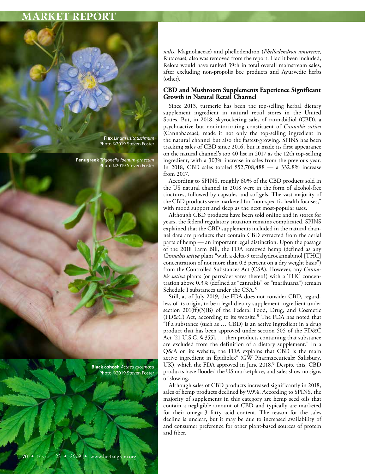

*nalis*, Magnoliaceae) and phellodendron (*Phellodendron amurense*, Rutaceae), also was removed from the report. Had it been included, Relora would have ranked 39th in total overall mainstream sales, after excluding non-propolis bee products and Ayurvedic herbs (other).

### **CBD and Mushroom Supplements Experience Significant Growth in Natural Retail Channel**

Since 2013, turmeric has been the top-selling herbal dietary supplement ingredient in natural retail stores in the United States. But, in 2018, skyrocketing sales of cannabidiol (CBD), a psychoactive but nonintoxicating constituent of *Cannabis sativa* (Cannabaceae), made it not only the top-selling ingredient in the natural channel but also the fastest-growing. SPINS has been tracking sales of CBD since 2016, but it made its first appearance on the natural channel's top 40 list in 2017 as the 12th top-selling ingredient, with a 303% increase in sales from the previous year. In 2018, CBD sales totaled \$52,708,488 — a 332.8% increase from 2017.

According to SPINS, roughly 60% of the CBD products sold in the US natural channel in 2018 were in the form of alcohol-free tinctures, followed by capsules and softgels. The vast majority of the CBD products were marketed for "non-specific health focuses," with mood support and sleep as the next most-popular uses.

Although CBD products have been sold online and in stores for years, the federal regulatory situation remains complicated. SPINS explained that the CBD supplements included in the natural channel data are products that contain CBD extracted from the aerial parts of hemp — an important legal distinction. Upon the passage of the 2018 Farm Bill, the FDA removed hemp (defined as any *Cannabis sativa* plant "with a delta-9 tetrahydrocannabinol [THC] concentration of not more than 0.3 percent on a dry weight basis") from the Controlled Substances Act (CSA). However, any *Cannabis sativa* plants (or parts/derivates thereof) with a THC concentration above 0.3% (defined as "cannabis" or "marihuana") remain Schedule I substances under the CSA.8

Still, as of July 2019, the FDA does not consider CBD, regardless of its origin, to be a legal dietary supplement ingredient under section 201(ff)(3)(B) of the Federal Food, Drug, and Cosmetic (FD&C) Act, according to its website.8 The FDA has noted that "if a substance (such as … CBD) is an active ingredient in a drug product that has been approved under section 505 of the FD&C Act [21 U.S.C. § 355], … then products containing that substance are excluded from the definition of a dietary supplement." In a Q&A on its website, the FDA explains that CBD is the main active ingredient in Epidiolex® (GW Pharmaceuticals; Salisbury, UK), which the FDA approved in June 2018.9 Despite this, CBD products have flooded the US marketplace, and sales show no signs of slowing.

Although sales of CBD products increased significantly in 2018, sales of hemp products declined by 9.9%. According to SPINS, the majority of supplements in this category are hemp seed oils that contain a negligible amount of CBD and typically are marketed for their omega-3 fatty acid content. The reason for the sales decline is unclear, but it may be due to increased availability of and consumer preference for other plant-based sources of protein and fiber.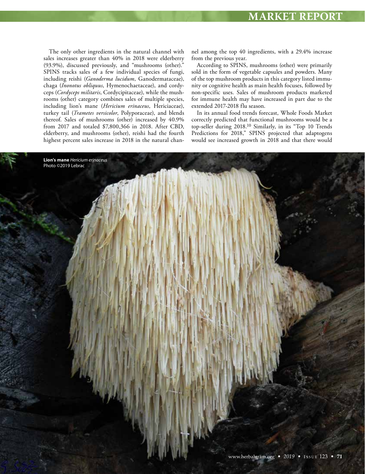The only other ingredients in the natural channel with sales increases greater than 40% in 2018 were elderberry (93.9%), discussed previously, and "mushrooms (other)." SPINS tracks sales of a few individual species of fungi, including reishi (*Ganoderma lucidum*, Ganodermataceae), chaga (*Inonotus obliquus*, Hymenochaetaceae), and cordyceps (*Cordyceps militaris*, Cordycipitaceae), while the mushrooms (other) category combines sales of multiple species, including lion's mane (*Hericium erinaceus*, Hericiaceae), turkey tail (*Trametes versicolor*, Polyporaceae), and blends thereof. Sales of mushrooms (other) increased by 40.9% from 2017 and totaled \$7,800,366 in 2018. After CBD, elderberry, and mushrooms (other), reishi had the fourth highest percent sales increase in 2018 in the natural chan-

nel among the top 40 ingredients, with a 29.4% increase from the previous year.

According to SPINS, mushrooms (other) were primarily sold in the form of vegetable capsules and powders. Many of the top mushroom products in this category listed immunity or cognitive health as main health focuses, followed by non-specific uses. Sales of mushroom products marketed for immune health may have increased in part due to the extended 2017-2018 flu season.

In its annual food trends forecast, Whole Foods Market correctly predicted that functional mushrooms would be a top-seller during 2018.10 Similarly, in its "Top 10 Trends Predictions for 2018," SPINS projected that adaptogens would see increased growth in 2018 and that there would

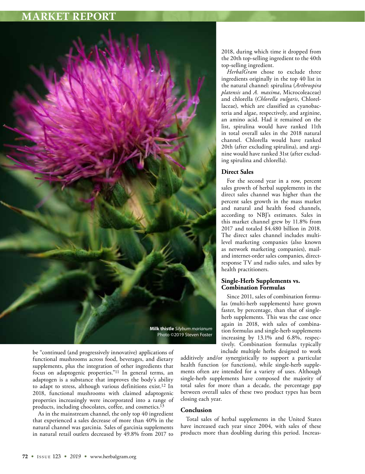

be "continued (and progressively innovative) applications of functional mushrooms across food, beverages, and dietary supplements, plus the integration of other ingredients that focus on adaptogenic properties."11 In general terms, an adaptogen is a substance that improves the body's ability to adapt to stress, although various definitions exist.12 In 2018, functional mushrooms with claimed adaptogenic properties increasingly were incorporated into a range of products, including chocolates, coffee, and cosmetics.13

As in the mainstream channel, the only top 40 ingredient that experienced a sales decrease of more than 40% in the natural channel was garcinia. Sales of garcinia supplements in natural retail outlets decreased by 49.8% from 2017 to

2018, during which time it dropped from the 20th top-selling ingredient to the 40th top-selling ingredient.

*HerbalGram* chose to exclude three ingredients originally in the top 40 list in the natural channel: spirulina (*Arthrospira platensis* and *A. maxima*, Microcoleaceae) and chlorella (*Chlorella vulgaris*, Chlorellaceae), which are classified as cyanobacteria and algae, respectively, and arginine, an amino acid. Had it remained on the list, spirulina would have ranked 11th in total overall sales in the 2018 natural channel. Chlorella would have ranked 20th (after excluding spirulina), and arginine would have ranked 31st (after excluding spirulina and chlorella).

### **Direct Sales**

For the second year in a row, percent sales growth of herbal supplements in the direct sales channel was higher than the percent sales growth in the mass market and natural and health food channels, according to NBJ's estimates. Sales in this market channel grew by 11.8% from 2017 and totaled \$4.480 billion in 2018. The direct sales channel includes multilevel marketing companies (also known as network marketing companies), mailand internet-order sales companies, directresponse TV and radio sales, and sales by health practitioners.

### **Single-Herb Supplements vs. Combination Formulas**

Since 2011, sales of combination formulas (multi-herb supplements) have grown faster, by percentage, than that of singleherb supplements. This was the case once again in 2018, with sales of combination formulas and single-herb supplements increasing by 13.1% and 6.8%, respectively. Combination formulas typically include multiple herbs designed to work

additively and/or synergistically to support a particular health function (or functions), while single-herb supplements often are intended for a variety of uses. Although single-herb supplements have composed the majority of total sales for more than a decade, the percentage gap between overall sales of these two product types has been closing each year.

#### **Conclusion**

Total sales of herbal supplements in the United States have increased each year since 2004, with sales of these products more than doubling during this period. Increas